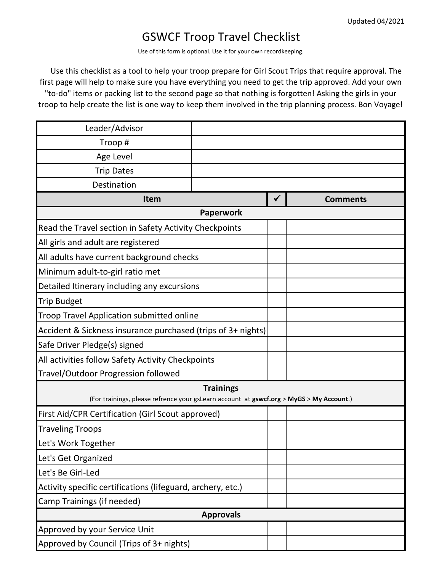## GSWCF Troop Travel Checklist

Use of this form is optional. Use it for your own recordkeeping.

 Use this checklist as a tool to help your troop prepare for Girl Scout Trips that require approval. The first page will help to make sure you have everything you need to get the trip approved. Add your own "to-do" items or packing list to the second page so that nothing is forgotten! Asking the girls in your troop to help create the list is one way to keep them involved in the trip planning process. Bon Voyage!

| Leader/Advisor                                                                                              |  |              |                 |  |
|-------------------------------------------------------------------------------------------------------------|--|--------------|-----------------|--|
| Troop#                                                                                                      |  |              |                 |  |
| Age Level                                                                                                   |  |              |                 |  |
| <b>Trip Dates</b>                                                                                           |  |              |                 |  |
| Destination                                                                                                 |  |              |                 |  |
| <b>Item</b>                                                                                                 |  | $\checkmark$ | <b>Comments</b> |  |
| <b>Paperwork</b>                                                                                            |  |              |                 |  |
| Read the Travel section in Safety Activity Checkpoints                                                      |  |              |                 |  |
| All girls and adult are registered                                                                          |  |              |                 |  |
| All adults have current background checks                                                                   |  |              |                 |  |
| Minimum adult-to-girl ratio met                                                                             |  |              |                 |  |
| Detailed Itinerary including any excursions                                                                 |  |              |                 |  |
| <b>Trip Budget</b>                                                                                          |  |              |                 |  |
| Troop Travel Application submitted online                                                                   |  |              |                 |  |
| Accident & Sickness insurance purchased (trips of 3+ nights)                                                |  |              |                 |  |
| Safe Driver Pledge(s) signed                                                                                |  |              |                 |  |
| All activities follow Safety Activity Checkpoints                                                           |  |              |                 |  |
| Travel/Outdoor Progression followed                                                                         |  |              |                 |  |
| <b>Trainings</b><br>(For trainings, please refrence your gsLearn account at gswcf.org > MyGS > My Account.) |  |              |                 |  |
| First Aid/CPR Certification (Girl Scout approved)                                                           |  |              |                 |  |
| <b>Traveling Troops</b>                                                                                     |  |              |                 |  |
| Let's Work Together                                                                                         |  |              |                 |  |
| Let's Get Organized                                                                                         |  |              |                 |  |
| Let's Be Girl-Led                                                                                           |  |              |                 |  |
| Activity specific certifications (lifeguard, archery, etc.)                                                 |  |              |                 |  |
| Camp Trainings (if needed)                                                                                  |  |              |                 |  |
| <b>Approvals</b>                                                                                            |  |              |                 |  |
| Approved by your Service Unit                                                                               |  |              |                 |  |
| Approved by Council (Trips of 3+ nights)                                                                    |  |              |                 |  |